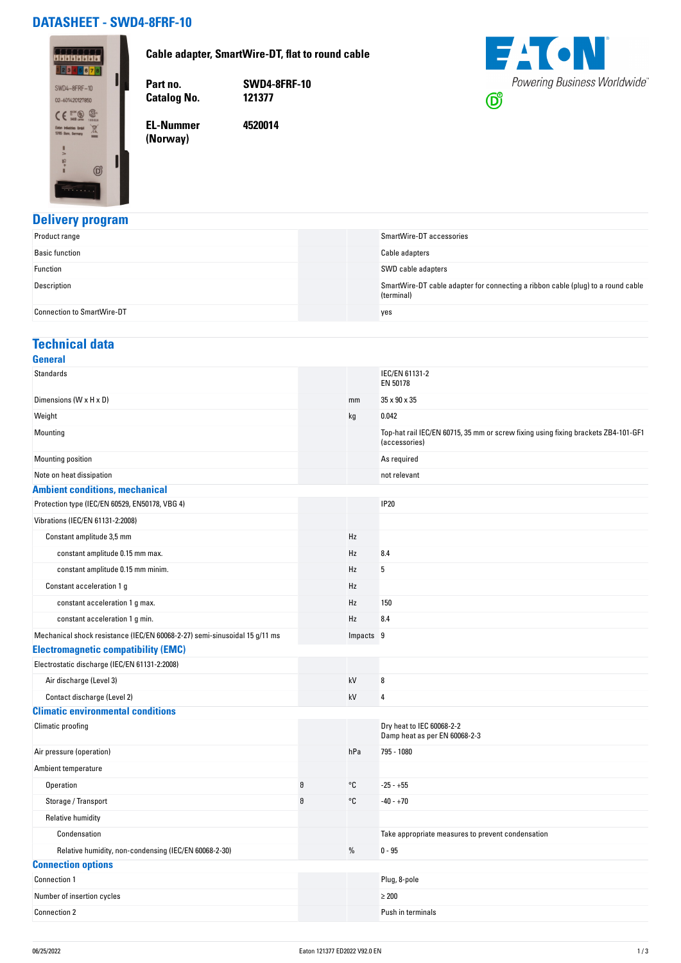### **DATASHEET - SWD4-8FRF-10**

**FACN Cable adapter, SmartWire-DT, flat to round cable BREEBREE** 12345678 Π Powering Business Worldwide® **Part no. SWD4-8FRF-10** SWD4-8FRF-10 **Catalog No.**  $\bigcirc$ 02-601420127850  $CE \oplus 0$ **EL-Nummer 4520014** Eaton Industries GmbH<br>53105 Born, Germany **(Norway)**   $-15$ 

#### **Delivery program**

 $\circledcirc$ 

| Product range                     | SmartWire-DT accessories                                                                       |
|-----------------------------------|------------------------------------------------------------------------------------------------|
| <b>Basic function</b>             | Cable adapters                                                                                 |
| Function                          | SWD cable adapters                                                                             |
| Description                       | SmartWire-DT cable adapter for connecting a ribbon cable (plug) to a round cable<br>(terminal) |
| <b>Connection to SmartWire-DT</b> | yes                                                                                            |

## **Technical data**

| <b>General</b>                                                             |   |           |                                                                                                     |
|----------------------------------------------------------------------------|---|-----------|-----------------------------------------------------------------------------------------------------|
| <b>Standards</b>                                                           |   |           | IEC/EN 61131-2<br>EN 50178                                                                          |
| Dimensions (W x H x D)                                                     |   | mm        | $35 \times 90 \times 35$                                                                            |
| Weight                                                                     |   | kg        | 0.042                                                                                               |
| Mounting                                                                   |   |           | Top-hat rail IEC/EN 60715, 35 mm or screw fixing using fixing brackets ZB4-101-GF1<br>(accessories) |
| Mounting position                                                          |   |           | As required                                                                                         |
| Note on heat dissipation                                                   |   |           | not relevant                                                                                        |
| <b>Ambient conditions, mechanical</b>                                      |   |           |                                                                                                     |
| Protection type (IEC/EN 60529, EN50178, VBG 4)                             |   |           | <b>IP20</b>                                                                                         |
| Vibrations (IEC/EN 61131-2:2008)                                           |   |           |                                                                                                     |
| Constant amplitude 3,5 mm                                                  |   | Hz        |                                                                                                     |
| constant amplitude 0.15 mm max.                                            |   | Hz        | 8.4                                                                                                 |
| constant amplitude 0.15 mm minim.                                          |   | Hz        | 5                                                                                                   |
| Constant acceleration 1 g                                                  |   | Hz        |                                                                                                     |
| constant acceleration 1 g max.                                             |   | Hz        | 150                                                                                                 |
| constant acceleration 1 g min.                                             |   | Hz        | 8.4                                                                                                 |
| Mechanical shock resistance (IEC/EN 60068-2-27) semi-sinusoidal 15 g/11 ms |   | Impacts 9 |                                                                                                     |
| <b>Electromagnetic compatibility (EMC)</b>                                 |   |           |                                                                                                     |
| Electrostatic discharge (IEC/EN 61131-2:2008)                              |   |           |                                                                                                     |
| Air discharge (Level 3)                                                    |   | kV        | 8                                                                                                   |
| Contact discharge (Level 2)                                                |   | kV        | 4                                                                                                   |
| <b>Climatic environmental conditions</b>                                   |   |           |                                                                                                     |
| Climatic proofing                                                          |   |           | Dry heat to IEC 60068-2-2<br>Damp heat as per EN 60068-2-3                                          |
| Air pressure (operation)                                                   |   | hPa       | 795 - 1080                                                                                          |
| Ambient temperature                                                        |   |           |                                                                                                     |
| Operation                                                                  | 9 | °C        | $-25 - +55$                                                                                         |
| Storage / Transport                                                        | 8 | °C        | $-40 - +70$                                                                                         |
| <b>Relative humidity</b>                                                   |   |           |                                                                                                     |
| Condensation                                                               |   |           | Take appropriate measures to prevent condensation                                                   |
| Relative humidity, non-condensing (IEC/EN 60068-2-30)                      |   | %         | $0 - 95$                                                                                            |
| <b>Connection options</b>                                                  |   |           |                                                                                                     |
| Connection 1                                                               |   |           | Plug, 8-pole                                                                                        |
| Number of insertion cycles                                                 |   |           | $\geq 200$                                                                                          |
| Connection 2                                                               |   |           | Push in terminals                                                                                   |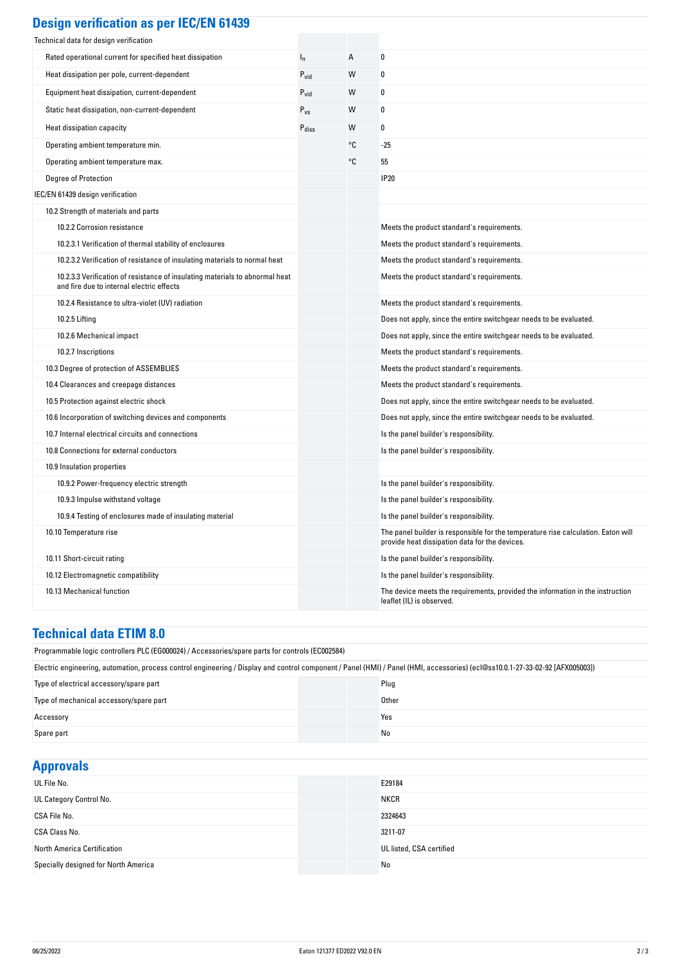| <b>Design verification as per IEC/EN 61439</b>                                                                            |                   |    |                                                                                                                                     |
|---------------------------------------------------------------------------------------------------------------------------|-------------------|----|-------------------------------------------------------------------------------------------------------------------------------------|
| Technical data for design verification                                                                                    |                   |    |                                                                                                                                     |
| Rated operational current for specified heat dissipation                                                                  | $I_n$             | А  | 0                                                                                                                                   |
| Heat dissipation per pole, current-dependent                                                                              | $P_{\text{vid}}$  | W  | 0                                                                                                                                   |
| Equipment heat dissipation, current-dependent                                                                             | $P_{vid}$         | W  | 0                                                                                                                                   |
| Static heat dissipation, non-current-dependent                                                                            | $P_{VS}$          | W  | 0                                                                                                                                   |
| Heat dissipation capacity                                                                                                 | $P_{\text{diss}}$ | W  | 0                                                                                                                                   |
| Operating ambient temperature min.                                                                                        |                   | °C | $-25$                                                                                                                               |
| Operating ambient temperature max.                                                                                        |                   | °C | 55                                                                                                                                  |
| Degree of Protection                                                                                                      |                   |    | <b>IP20</b>                                                                                                                         |
| IEC/EN 61439 design verification                                                                                          |                   |    |                                                                                                                                     |
| 10.2 Strength of materials and parts                                                                                      |                   |    |                                                                                                                                     |
| 10.2.2 Corrosion resistance                                                                                               |                   |    | Meets the product standard's requirements.                                                                                          |
| 10.2.3.1 Verification of thermal stability of enclosures                                                                  |                   |    | Meets the product standard's requirements.                                                                                          |
| 10.2.3.2 Verification of resistance of insulating materials to normal heat                                                |                   |    | Meets the product standard's requirements.                                                                                          |
| 10.2.3.3 Verification of resistance of insulating materials to abnormal heat<br>and fire due to internal electric effects |                   |    | Meets the product standard's requirements.                                                                                          |
| 10.2.4 Resistance to ultra-violet (UV) radiation                                                                          |                   |    | Meets the product standard's requirements.                                                                                          |
| 10.2.5 Lifting                                                                                                            |                   |    | Does not apply, since the entire switchgear needs to be evaluated.                                                                  |
| 10.2.6 Mechanical impact                                                                                                  |                   |    | Does not apply, since the entire switchgear needs to be evaluated.                                                                  |
| 10.2.7 Inscriptions                                                                                                       |                   |    | Meets the product standard's requirements.                                                                                          |
| 10.3 Degree of protection of ASSEMBLIES                                                                                   |                   |    | Meets the product standard's requirements.                                                                                          |
| 10.4 Clearances and creepage distances                                                                                    |                   |    | Meets the product standard's requirements.                                                                                          |
| 10.5 Protection against electric shock                                                                                    |                   |    | Does not apply, since the entire switchgear needs to be evaluated.                                                                  |
| 10.6 Incorporation of switching devices and components                                                                    |                   |    | Does not apply, since the entire switchgear needs to be evaluated.                                                                  |
| 10.7 Internal electrical circuits and connections                                                                         |                   |    | Is the panel builder's responsibility.                                                                                              |
| 10.8 Connections for external conductors                                                                                  |                   |    | Is the panel builder's responsibility.                                                                                              |
| 10.9 Insulation properties                                                                                                |                   |    |                                                                                                                                     |
| 10.9.2 Power-frequency electric strength                                                                                  |                   |    | Is the panel builder's responsibility.                                                                                              |
| 10.9.3 Impulse withstand voltage                                                                                          |                   |    | Is the panel builder's responsibility.                                                                                              |
| 10.9.4 Testing of enclosures made of insulating material                                                                  |                   |    | Is the panel builder's responsibility.                                                                                              |
| 10.10 Temperature rise                                                                                                    |                   |    | The panel builder is responsible for the temperature rise calculation. Eaton will<br>provide heat dissipation data for the devices. |
| 10.11 Short-circuit rating                                                                                                |                   |    | Is the panel builder's responsibility.                                                                                              |
| 10.12 Electromagnetic compatibility                                                                                       |                   |    | Is the panel builder's responsibility.                                                                                              |
| 10.13 Mechanical function                                                                                                 |                   |    | The device meets the requirements, provided the information in the instruction<br>leaflet (IL) is observed.                         |

#### **Technical data ETIM 8.0**

| Programmable logic controllers PLC (EG000024) / Accessories/spare parts for controls (EC002584)                                                                                |             |  |
|--------------------------------------------------------------------------------------------------------------------------------------------------------------------------------|-------------|--|
| Electric engineering, automation, process control engineering / Display and control component / Panel (HMI) / Panel (HMI), accessories) (ecl@ss10.0.1-27-33-02-92 [AFX005003]) |             |  |
| Type of electrical accessory/spare part                                                                                                                                        | Plug        |  |
| Type of mechanical accessory/spare part                                                                                                                                        | Other       |  |
| Accessory                                                                                                                                                                      | Yes         |  |
| Spare part                                                                                                                                                                     | No          |  |
|                                                                                                                                                                                |             |  |
| <b>Approvals</b>                                                                                                                                                               |             |  |
| UL File No.                                                                                                                                                                    | E29184      |  |
| UL Category Control No.                                                                                                                                                        | <b>NKCR</b> |  |
| COA FILML                                                                                                                                                                      | 0001010     |  |

| UL Category Control No.              | NKCR                     |
|--------------------------------------|--------------------------|
| CSA File No.                         | 2324643                  |
| CSA Class No.                        | 3211-07                  |
| North America Certification          | UL listed, CSA certified |
| Specially designed for North America | No                       |